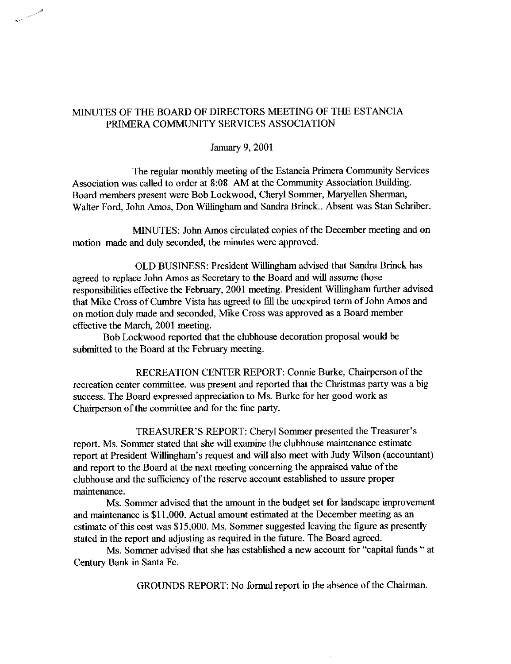# MINUTES OF THE BOARD OF DIRECTORS MEETING OF THE ESTANCIA PRIMERA COMMUNITY SERVICES ASSOCIATION

## January 9, 2001

The regular monthly meeting of the Estancia Primera Community Services Association was called to order at 8:08 AM at the Community Association Building. Board members present were Bob Lockwood, Cheryl Sommer, Maryellen Sherman, Walter Ford, John Amos, Don Willingham and Sandra Brinck.. Absent was Stan Schriber.

MINUTES: John Amos circulated copies of the December meeting and on motion made and duly seconded, the minutes were approved.

OLD BUSINESS: President Willingham advised that Sandra Brinck has agreed to replace John Amos as Secretary to the Board and will assume those responsibilities effective the February, 2001 meeting. President Willingham further advised that Mike Cross of Cumbre Vista has agreed to fill the unexpired term of John Amos and on motion duly made and seconded, Mike Cross was approved as a Board member effective the March, 2001 meeting.

Bob Lockwood reported that the clubhouse decoration proposal would be submitted to the Board at the February meeting.

RECREATION CENTER REPORT: Connie Burke, Chairperson of the recreation center committee, was present and reported that the Christmas party was a big success. The Board expressed appreciation to Ms. Burke for her good work as Chairperson of the committee and for the fine party.

TREASURER'S REPORT: Cheryl Sommer presented the Treasurer's report. Ms. Sommer stated that she will examine the clubhouse maintenance estimate report at President Willingham's request and will also meet with Judy Wilson (accountant) and report to the Board at the next meeting concerning the appraised value of the clubhouse and the sufficiency of the reserve account established to assure proper maintenance.

Ms. Sommer advised that the amount in the budget set for landscape improvement and maintenance is \$11,000. Actual amount estimated at the December meeting as an estimate of this cost was \$15,000. Ms. Sommer suggested leaving the figure as presently stated in the report and adjusting as required in the future. The Board agreed.

Ms. Sommer advised that she has established a new account for "capital funds " at Century Bank in Santa Fe.

GROUNDS REPORT: No formal report in the absence of the Chairman.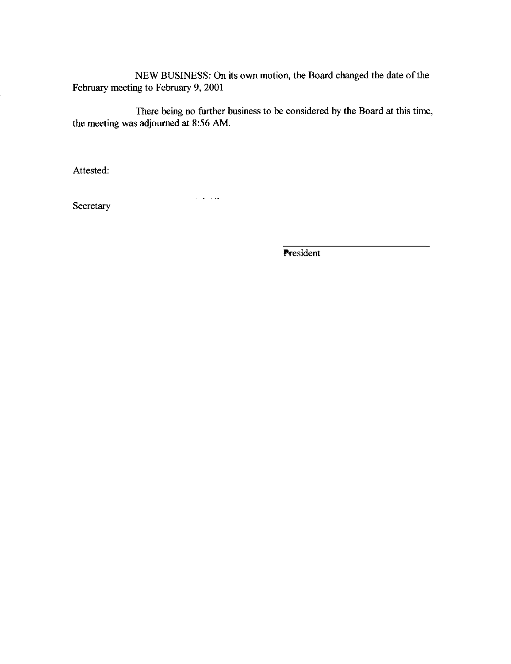NEW BUSINESS: On its own motion, the Board changed the date of the February meeting to February 9, 2001

There being no further business to be considered by the Board at this time, the meeting was adjourned at 8:56 AM.

Attested:

Secretary

President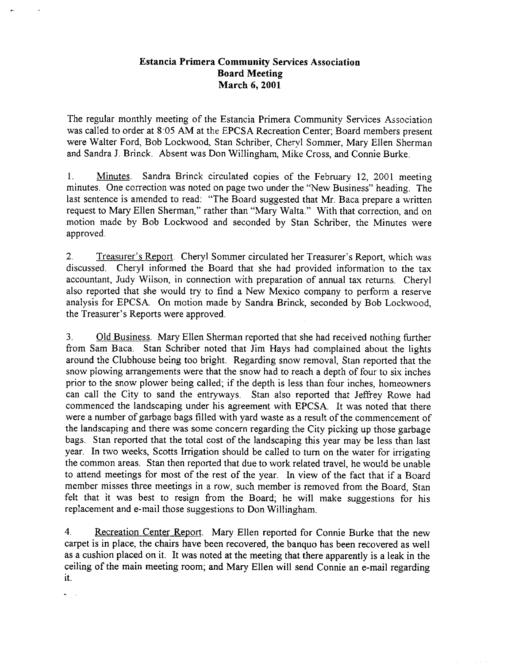# **Estancia Primera Community Services Association Board Meeting** March 6, 2001

The regular monthly meeting of the Estancia Primera Community Services Association was called to order at 8:05 AM at the EPCSA Recreation Center; Board members present were Walter Ford, Bob Lockwood, Stan Schriber, Chervl Sommer, Mary Ellen Sherman and Sandra J. Brinck. Absent was Don Willingham, Mike Cross, and Connie Burke.

1. Minutes. Sandra Brinck circulated copies of the February 12, 2001 meeting minutes. One correction was noted on page two under the "New Business" heading. The last sentence is amended to read: "The Board suggested that Mr. Baca prepare a written request to Mary Ellen Sherman," rather than "Mary Walta." With that correction, and on motion made by Bob Lockwood and seconded by Stan Schriber, the Minutes were approved.

 $2.$ Treasurer's Report. Cheryl Sommer circulated her Treasurer's Report, which was discussed. Cheryl informed the Board that she had provided information to the tax accountant, Judy Wilson, in connection with preparation of annual tax returns. Cheryl also reported that she would try to find a New Mexico company to perform a reserve analysis for EPCSA. On motion made by Sandra Brinck, seconded by Bob Lockwood, the Treasurer's Reports were approved.

 $3<sub>1</sub>$ Old Business. Mary Ellen Sherman reported that she had received nothing further from Sam Baca. Stan Schriber noted that Jim Hays had complained about the lights around the Clubhouse being too bright. Regarding snow removal, Stan reported that the snow plowing arrangements were that the snow had to reach a depth of four to six inches prior to the snow plower being called; if the depth is less than four inches, homeowners can call the City to sand the entryways. Stan also reported that Jeffrey Rowe had commenced the landscaping under his agreement with EPCSA. It was noted that there were a number of garbage bags filled with yard waste as a result of the commencement of the landscaping and there was some concern regarding the City picking up those garbage bags. Stan reported that the total cost of the landscaping this year may be less than last year. In two weeks, Scotts Irrigation should be called to turn on the water for irrigating the common areas. Stan then reported that due to work related travel, he would be unable to attend meetings for most of the rest of the year. In view of the fact that if a Board member misses three meetings in a row, such member is removed from the Board. Stan felt that it was best to resign from the Board; he will make suggestions for his replacement and e-mail those suggestions to Don Willingham.

 $4.$ Recreation Center Report. Mary Ellen reported for Connie Burke that the new carpet is in place, the chairs have been recovered, the banquo has been recovered as well as a cushion placed on it. It was noted at the meeting that there apparently is a leak in the ceiling of the main meeting room; and Mary Ellen will send Connie an e-mail regarding it.

 $\sim$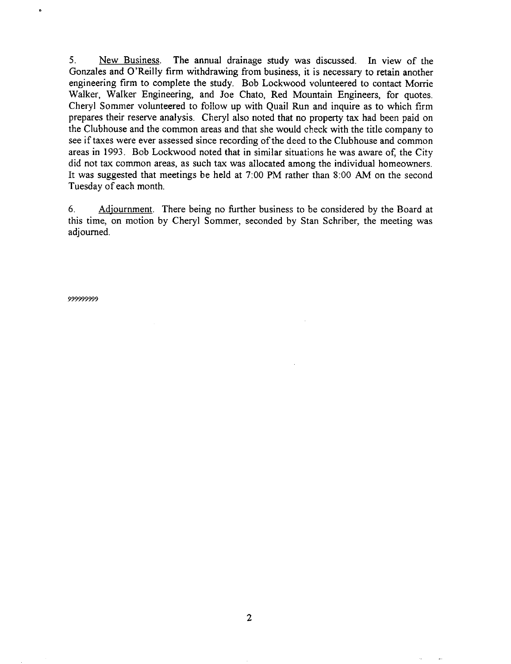$5<sub>1</sub>$ New Business. The annual drainage study was discussed. In view of the Gonzales and O'Reilly firm withdrawing from business, it is necessary to retain another engineering firm to complete the study. Bob Lockwood volunteered to contact Morrie Walker, Walker Engineering, and Joe Chato, Red Mountain Engineers, for quotes. Cheryl Sommer volunteered to follow up with Quail Run and inquire as to which firm prepares their reserve analysis. Cheryl also noted that no property tax had been paid on the Clubhouse and the common areas and that she would check with the title company to see if taxes were ever assessed since recording of the deed to the Clubhouse and common areas in 1993. Bob Lockwood noted that in similar situations he was aware of, the City did not tax common areas, as such tax was allocated among the individual homeowners. It was suggested that meetings be held at 7:00 PM rather than 8:00 AM on the second Tuesday of each month.

Adjournment. There being no further business to be considered by the Board at 6. this time, on motion by Cheryl Sommer, seconded by Stan Schriber, the meeting was adjourned.

99999999

 $\pmb{\hat{r}}$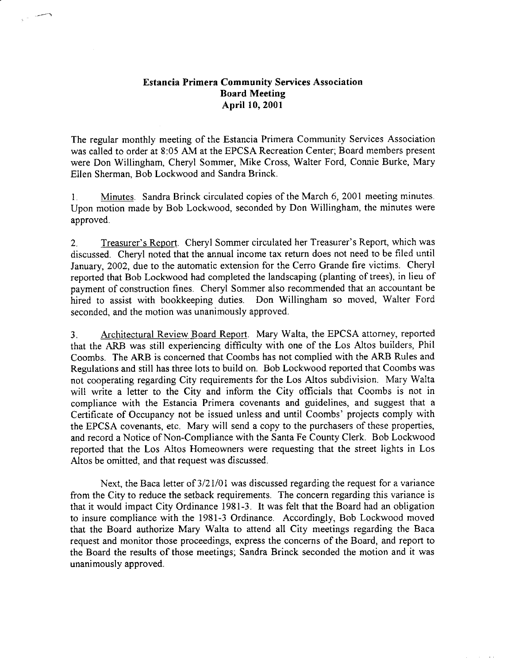# **Estancia Primera Community Services Association Board Meeting** April 10, 2001

The regular monthly meeting of the Estancia Primera Community Services Association was called to order at 8:05 AM at the EPCSA Recreation Center; Board members present were Don Willingham, Cheryl Sommer, Mike Cross, Walter Ford, Connie Burke, Mary Ellen Sherman, Bob Lockwood and Sandra Brinck.

Minutes. Sandra Brinck circulated copies of the March 6, 2001 meeting minutes.  $1<sub>1</sub>$ Upon motion made by Bob Lockwood, seconded by Don Willingham, the minutes were approved.

Treasurer's Report. Cheryl Sommer circulated her Treasurer's Report, which was  $2.$ discussed. Cheryl noted that the annual income tax return does not need to be filed until January, 2002, due to the automatic extension for the Cerro Grande fire victims. Cheryl reported that Bob Lockwood had completed the landscaping (planting of trees), in lieu of payment of construction fines. Cheryl Sommer also recommended that an accountant be hired to assist with bookkeeping duties. Don Willingham so moved, Walter Ford seconded, and the motion was unanimously approved.

Architectural Review Board Report. Mary Walta, the EPCSA attorney, reported  $3<sub>1</sub>$ that the ARB was still experiencing difficulty with one of the Los Altos builders, Phil Coombs. The ARB is concerned that Coombs has not complied with the ARB Rules and Regulations and still has three lots to build on. Bob Lockwood reported that Coombs was not cooperating regarding City requirements for the Los Altos subdivision. Mary Walta will write a letter to the City and inform the City officials that Coombs is not in compliance with the Estancia Primera covenants and guidelines, and suggest that a Certificate of Occupancy not be issued unless and until Coombs' projects comply with the EPCSA covenants, etc. Mary will send a copy to the purchasers of these properties, and record a Notice of Non-Compliance with the Santa Fe County Clerk. Bob Lockwood reported that the Los Altos Homeowners were requesting that the street lights in Los Altos be omitted, and that request was discussed.

Next, the Baca letter of 3/21/01 was discussed regarding the request for a variance from the City to reduce the setback requirements. The concern regarding this variance is that it would impact City Ordinance 1981-3. It was felt that the Board had an obligation to insure compliance with the 1981-3 Ordinance. Accordingly, Bob Lockwood moved that the Board authorize Mary Walta to attend all City meetings regarding the Baca request and monitor those proceedings, express the concerns of the Board, and report to the Board the results of those meetings; Sandra Brinck seconded the motion and it was unanimously approved.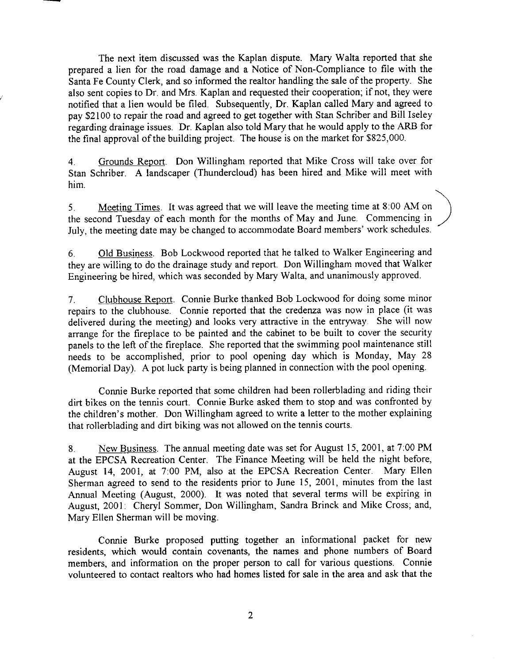The next item discussed was the Kaplan dispute. Mary Walta reported that she prepared a lien for the road damage and a Notice of Non-Compliance to file with the Santa Fe County Clerk, and so informed the realtor handling the sale of the property. She also sent copies to Dr. and Mrs. Kaplan and requested their cooperation; if not, they were notified that a lien would be filed. Subsequently, Dr. Kaplan called Mary and agreed to pay \$2100 to repair the road and agreed to get together with Stan Schriber and Bill Iseley regarding drainage issues. Dr. Kaplan also told Mary that he would apply to the ARB for the final approval of the building project. The house is on the market for \$825,000.

Grounds Report. Don Willingham reported that Mike Cross will take over for  $4<sup>1</sup>$ Stan Schriber. A landscaper (Thundercloud) has been hired and Mike will meet with him.

Meeting Times. It was agreed that we will leave the meeting time at 8:00 AM on  $5<sub>1</sub>$ the second Tuesday of each month for the months of May and June. Commencing in July, the meeting date may be changed to accommodate Board members' work schedules.

Old Business. Bob Lockwood reported that he talked to Walker Engineering and 6. they are willing to do the drainage study and report. Don Willingham moved that Walker Engineering be hired, which was seconded by Mary Walta, and unanimously approved.

Clubhouse Report. Connie Burke thanked Bob Lockwood for doing some minor  $7<sub>1</sub>$ repairs to the clubhouse. Connie reported that the credenza was now in place (it was delivered during the meeting) and looks very attractive in the entryway. She will now arrange for the fireplace to be painted and the cabinet to be built to cover the security panels to the left of the fireplace. She reported that the swimming pool maintenance still needs to be accomplished, prior to pool opening day which is Monday, May 28 (Memorial Day). A pot luck party is being planned in connection with the pool opening.

Connie Burke reported that some children had been rollerblading and riding their dirt bikes on the tennis court. Connie Burke asked them to stop and was confronted by the children's mother. Don Willingham agreed to write a letter to the mother explaining that rollerblading and dirt biking was not allowed on the tennis courts.

New Business. The annual meeting date was set for August 15, 2001, at 7:00 PM 8. at the EPCSA Recreation Center. The Finance Meeting will be held the night before, August 14, 2001, at 7:00 PM, also at the EPCSA Recreation Center. Mary Ellen Sherman agreed to send to the residents prior to June 15, 2001, minutes from the last Annual Meeting (August, 2000). It was noted that several terms will be expiring in August, 2001: Cheryl Sommer, Don Willingham, Sandra Brinck and Mike Cross; and, Mary Ellen Sherman will be moving.

Connie Burke proposed putting together an informational packet for new residents, which would contain covenants, the names and phone numbers of Board members, and information on the proper person to call for various questions. Connie volunteered to contact realtors who had homes listed for sale in the area and ask that the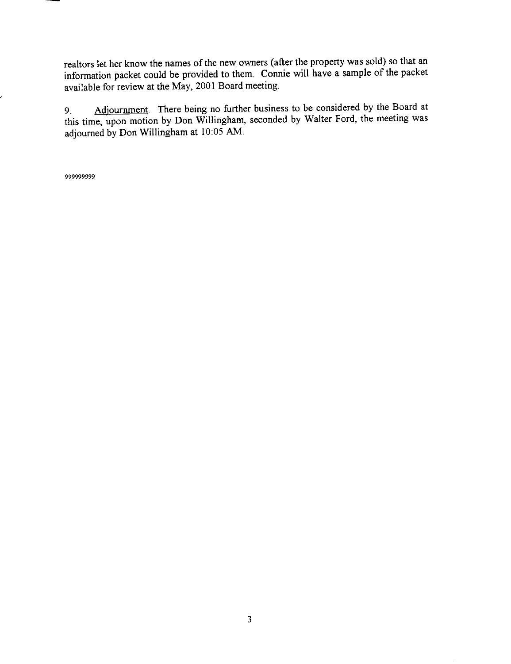realtors let her know the names of the new owners (after the property was sold) so that an information packet could be provided to them. Connie will have a sample of the packet available for review at the May, 2001 Board meeting.

Adjournment. There being no further business to be considered by the Board at  $9<sub>1</sub>$ this time, upon motion by Don Willingham, seconded by Walter Ford, the meeting was adjourned by Don Willingham at 10:05 AM.

999999999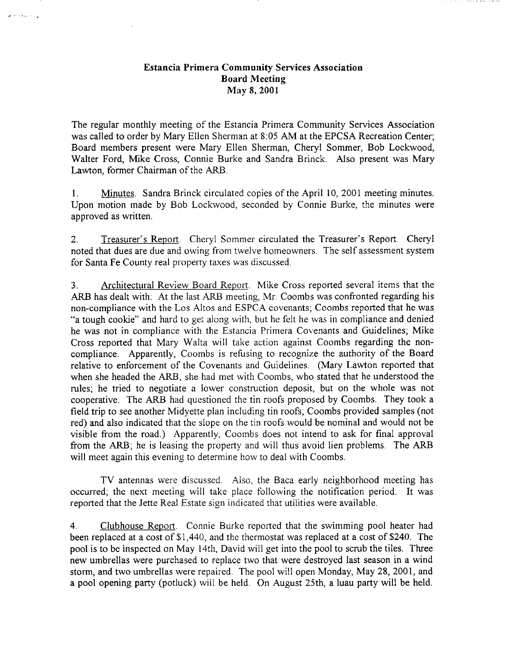# **Estancia Primera Community Services Association Board Meeting** May 8, 2001

وارد سيداخل

The regular monthly meeting of the Estancia Primera Community Services Association was called to order by Mary Ellen Sherman at 8:05 AM at the EPCSA Recreation Center; Board members present were Mary Ellen Sherman, Cheryl Sommer, Bob Lockwood, Walter Ford, Mike Cross, Connie Burke and Sandra Brinck. Also present was Mary Lawton, former Chairman of the ARB.

Minutes. Sandra Brinck circulated copies of the April 10, 2001 meeting minutes.  $1_{\cdot}$ Upon motion made by Bob Lockwood, seconded by Connie Burke, the minutes were approved as written.

 $2.$ Treasurer's Report. Cheryl Sommer circulated the Treasurer's Report. Cheryl noted that dues are due and owing from twelve homeowners. The self assessment system for Santa Fe County real property taxes was discussed.

Architectural Review Board Report. Mike Cross reported several items that the  $3<sub>1</sub>$ ARB has dealt with: At the last ARB meeting, Mr. Coombs was confronted regarding his non-compliance with the Los Altos and ESPCA covenants; Coombs reported that he was "a tough cookie" and hard to get along with, but he felt he was in compliance and denied he was not in compliance with the Estancia Primera Covenants and Guidelines; Mike Cross reported that Mary Walta will take action against Coombs regarding the noncompliance. Apparently, Coombs is refusing to recognize the authority of the Board relative to enforcement of the Covenants and Guidelines. (Mary Lawton reported that when she headed the ARB, she had met with Coombs, who stated that he understood the rules; he tried to negotiate a lower construction deposit, but on the whole was not cooperative. The ARB had questioned the tin roofs proposed by Coombs. They took a field trip to see another Midyette plan including tin roofs; Coombs provided samples (not red) and also indicated that the slope on the tin roofs would be nominal and would not be visible from the road.) Apparently, Coombs does not intend to ask for final approval from the ARB; he is leasing the property and will thus avoid lien problems. The ARB will meet again this evening to determine how to deal with Coombs.

TV antennas were discussed. Also, the Baca early neighborhood meeting has occurred; the next meeting will take place following the notification period. It was reported that the Jette Real Estate sign indicated that utilities were available.

 $\overline{4}$ Clubhouse Report. Connie Burke reported that the swimming pool heater had been replaced at a cost of \$1,440, and the thermostat was replaced at a cost of \$240. The pool is to be inspected on May 14th, David will get into the pool to scrub the tiles. Three new umbrellas were purchased to replace two that were destroyed last season in a wind storm, and two umbrellas were repaired. The pool will open Monday, May 28, 2001, and a pool opening party (potluck) will be held. On August 25th, a luau party will be held.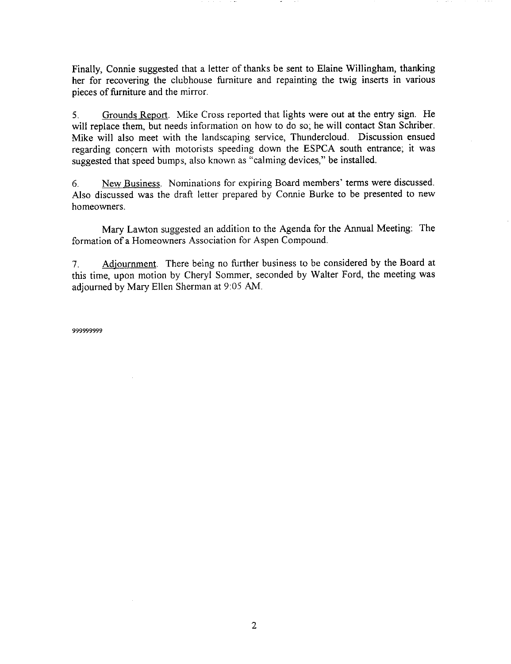Finally, Connie suggested that a letter of thanks be sent to Elaine Willingham, thanking her for recovering the clubhouse furniture and repainting the twig inserts in various pieces of furniture and the mirror.

Grounds Report. Mike Cross reported that lights were out at the entry sign. He  $5.$ will replace them, but needs information on how to do so, he will contact Stan Schriber. Mike will also meet with the landscaping service, Thundercloud. Discussion ensued regarding concern with motorists speeding down the ESPCA south entrance; it was suggested that speed bumps, also known as "calming devices," be installed.

New Business. Nominations for expiring Board members' terms were discussed. 6. Also discussed was the draft letter prepared by Connie Burke to be presented to new homeowners.

Mary Lawton suggested an addition to the Agenda for the Annual Meeting: The formation of a Homeowners Association for Aspen Compound.

Adjournment. There being no further business to be considered by the Board at 7. this time, upon motion by Cheryl Sommer, seconded by Walter Ford, the meeting was adjourned by Mary Ellen Sherman at 9:05 AM.

99999999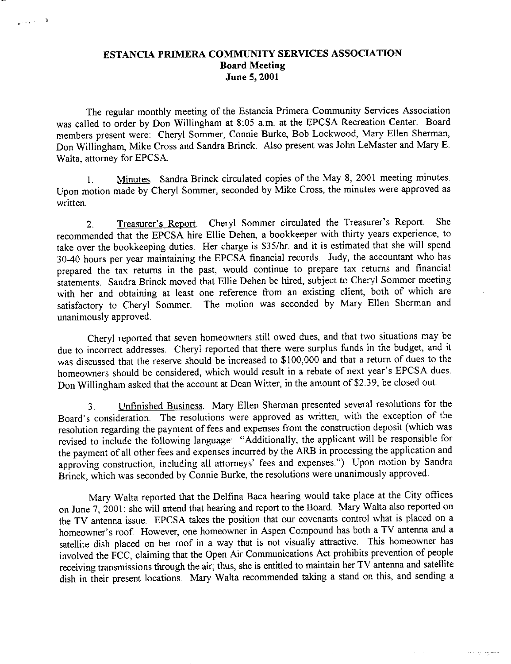# ESTANCIA PRIMERA COMMUNITY SERVICES ASSOCIATION **Board Meeting** June 5, 2001

 $\theta^{(\alpha,\beta,\gamma,\gamma,\delta)}$ 

The regular monthly meeting of the Estancia Primera Community Services Association was called to order by Don Willingham at 8:05 a.m. at the EPCSA Recreation Center. Board members present were: Cheryl Sommer, Connie Burke, Bob Lockwood, Mary Ellen Sherman, Don Willingham, Mike Cross and Sandra Brinck. Also present was John LeMaster and Mary E. Walta, attorney for EPCSA.

Minutes. Sandra Brinck circulated copies of the May 8, 2001 meeting minutes.  $\mathbf{1}$ . Upon motion made by Cheryl Sommer, seconded by Mike Cross, the minutes were approved as written.

Treasurer's Report. Cheryl Sommer circulated the Treasurer's Report. **She**  $2.$ recommended that the EPCSA hire Ellie Dehen, a bookkeeper with thirty years experience, to take over the bookkeeping duties. Her charge is \$35/hr. and it is estimated that she will spend 30-40 hours per year maintaining the EPCSA financial records. Judy, the accountant who has prepared the tax returns in the past, would continue to prepare tax returns and financial statements. Sandra Brinck moved that Ellie Dehen be hired, subject to Cheryl Sommer meeting with her and obtaining at least one reference from an existing client, both of which are satisfactory to Cheryl Sommer. The motion was seconded by Mary Ellen Sherman and unanimously approved.

Cheryl reported that seven homeowners still owed dues, and that two situations may be due to incorrect addresses. Cheryl reported that there were surplus funds in the budget, and it was discussed that the reserve should be increased to \$100,000 and that a return of dues to the homeowners should be considered, which would result in a rebate of next year's EPCSA dues. Don Willingham asked that the account at Dean Witter, in the amount of \$2.39, be closed out.

Unfinished Business. Mary Ellen Sherman presented several resolutions for the  $3<sub>1</sub>$ Board's consideration. The resolutions were approved as written, with the exception of the resolution regarding the payment of fees and expenses from the construction deposit (which was revised to include the following language: "Additionally, the applicant will be responsible for the payment of all other fees and expenses incurred by the ARB in processing the application and approving construction, including all attorneys' fees and expenses.") Upon motion by Sandra Brinck, which was seconded by Connie Burke, the resolutions were unanimously approved.

Mary Walta reported that the Delfina Baca hearing would take place at the City offices on June 7, 2001; she will attend that hearing and report to the Board. Mary Walta also reported on the TV antenna issue. EPCSA takes the position that our covenants control what is placed on a homeowner's roof. However, one homeowner in Aspen Compound has both a TV antenna and a satellite dish placed on her roof in a way that is not visually attractive. This homeowner has involved the FCC, claiming that the Open Air Communications Act prohibits prevention of people receiving transmissions through the air, thus, she is entitled to maintain her TV antenna and satellite dish in their present locations. Mary Walta recommended taking a stand on this, and sending a

 $\sim 10^{11}$  km  $^{-1}$ 

 $\alpha = 1$  and  $\alpha$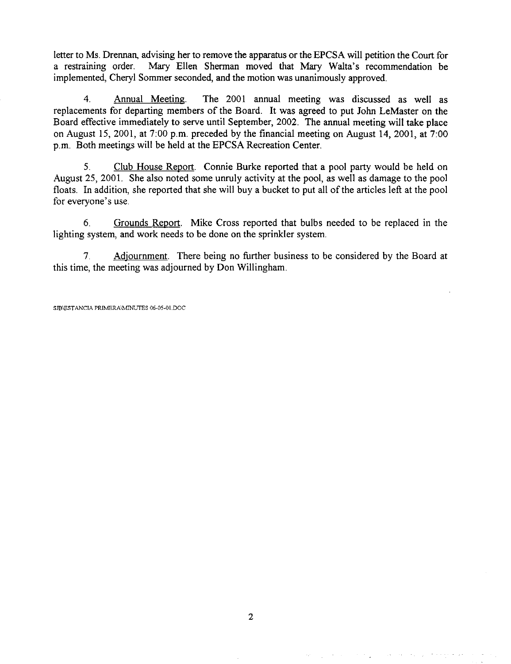letter to Ms. Drennan, advising her to remove the apparatus or the EPCSA will petition the Court for Mary Ellen Sherman moved that Mary Walta's recommendation be a restraining order. implemented, Cheryl Sommer seconded, and the motion was unanimously approved.

 $\overline{4}$ Annual Meeting. The 2001 annual meeting was discussed as well as replacements for departing members of the Board. It was agreed to put John LeMaster on the Board effective immediately to serve until September, 2002. The annual meeting will take place on August 15, 2001, at 7:00 p.m. preceded by the financial meeting on August 14, 2001, at 7:00 p.m. Both meetings will be held at the EPCSA Recreation Center.

 $5<sub>1</sub>$ Club House Report. Connie Burke reported that a pool party would be held on August 25, 2001. She also noted some unruly activity at the pool, as well as damage to the pool floats. In addition, she reported that she will buy a bucket to put all of the articles left at the pool for everyone's use.

6. Grounds Report. Mike Cross reported that bulbs needed to be replaced in the lighting system, and work needs to be done on the sprinkler system.

 $7<sub>1</sub>$ Adjournment. There being no further business to be considered by the Board at this time, the meeting was adjourned by Don Willingham.

SIB\ESTANCIA PRIMERA\MINUTES 06-05-01.DOC

and a series of the series of the series of the series of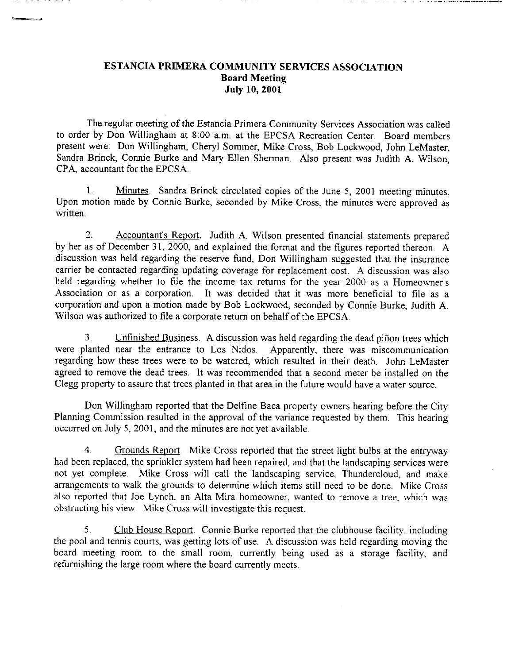# ESTANCIA PRIMERA COMMUNITY SERVICES ASSOCIATION **Board Meeting July 10, 2001**

The regular meeting of the Estancia Primera Community Services Association was called to order by Don Willingham at 8:00 a.m. at the EPCSA Recreation Center. Board members present were: Don Willingham, Cheryl Sommer, Mike Cross, Bob Lockwood, John LeMaster, Sandra Brinck, Connie Burke and Mary Ellen Sherman. Also present was Judith A. Wilson, CPA, accountant for the EPCSA.

Minutes. Sandra Brinck circulated copies of the June 5, 2001 meeting minutes.  $\mathbf{1}$ Upon motion made by Connie Burke, seconded by Mike Cross, the minutes were approved as written.

 $2.$ Accountant's Report. Judith A. Wilson presented financial statements prepared by her as of December 31, 2000, and explained the format and the figures reported thereon. A discussion was held regarding the reserve fund, Don Willingham suggested that the insurance carrier be contacted regarding updating coverage for replacement cost. A discussion was also held regarding whether to file the income tax returns for the year 2000 as a Homeowner's Association or as a corporation. It was decided that it was more beneficial to file as a corporation and upon a motion made by Bob Lockwood, seconded by Connie Burke, Judith A. Wilson was authorized to file a corporate return on behalf of the EPCSA.

Unfinished Business. A discussion was held regarding the dead piñon trees which  $3<sub>1</sub>$ were planted near the entrance to Los Nidos. Apparently, there was miscommunication regarding how these trees were to be watered, which resulted in their death. John LeMaster agreed to remove the dead trees. It was recommended that a second meter be installed on the Clegg property to assure that trees planted in that area in the future would have a water source.

Don Willingham reported that the Delfine Baca property owners hearing before the City Planning Commission resulted in the approval of the variance requested by them. This hearing occurred on July 5, 2001, and the minutes are not yet available.

 $\overline{4}$ Grounds Report. Mike Cross reported that the street light bulbs at the entryway had been replaced, the sprinkler system had been repaired, and that the landscaping services were not yet complete. Mike Cross will call the landscaping service, Thundercloud, and make arrangements to walk the grounds to determine which items still need to be done. Mike Cross also reported that Joe Lynch, an Alta Mira homeowner, wanted to remove a tree, which was obstructing his view. Mike Cross will investigate this request.

5. Club House Report. Connie Burke reported that the clubhouse facility, including the pool and tennis courts, was getting lots of use. A discussion was held regarding moving the board meeting room to the small room, currently being used as a storage facility, and refurnishing the large room where the board currently meets.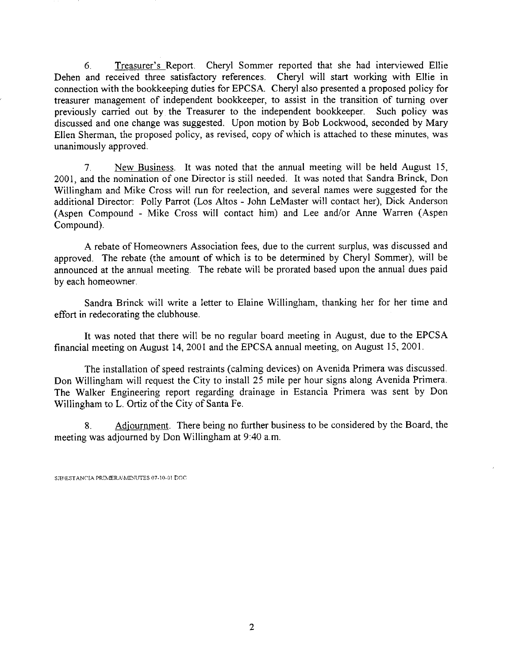Treasurer's Report. Cheryl Sommer reported that she had interviewed Ellie 6. Dehen and received three satisfactory references. Cheryl will start working with Ellie in connection with the bookkeeping duties for EPCSA. Cheryl also presented a proposed policy for treasurer management of independent bookkeeper, to assist in the transition of turning over previously carried out by the Treasurer to the independent bookkeeper. Such policy was discussed and one change was suggested. Upon motion by Bob Lockwood, seconded by Mary Ellen Sherman, the proposed policy, as revised, copy of which is attached to these minutes, was unanimously approved.

 $7<sub>1</sub>$ New Business. It was noted that the annual meeting will be held August 15, 2001, and the nomination of one Director is still needed. It was noted that Sandra Brinck, Don Willingham and Mike Cross will run for reelection, and several names were suggested for the additional Director: Polly Parrot (Los Altos - John LeMaster will contact her), Dick Anderson (Aspen Compound - Mike Cross will contact him) and Lee and/or Anne Warren (Aspen Compound).

A rebate of Homeowners Association fees, due to the current surplus, was discussed and approved. The rebate (the amount of which is to be determined by Cheryl Sommer), will be announced at the annual meeting. The rebate will be prorated based upon the annual dues paid by each homeowner.

Sandra Brinck will write a letter to Elaine Willingham, thanking her for her time and effort in redecorating the clubhouse.

It was noted that there will be no regular board meeting in August, due to the EPCSA financial meeting on August 14, 2001 and the EPCSA annual meeting, on August 15, 2001.

The installation of speed restraints (calming devices) on Avenida Primera was discussed. Don Willingham will request the City to install 25 mile per hour signs along Avenida Primera. The Walker Engineering report regarding drainage in Estancia Primera was sent by Don Willingham to L. Ortiz of the City of Santa Fe.

Adjournment. There being no further business to be considered by the Board, the 8. meeting was adjourned by Don Willingham at 9:40 a.m.

SIB\ESTANCIA PRIMERA\MINUTES 07-10-01.DOC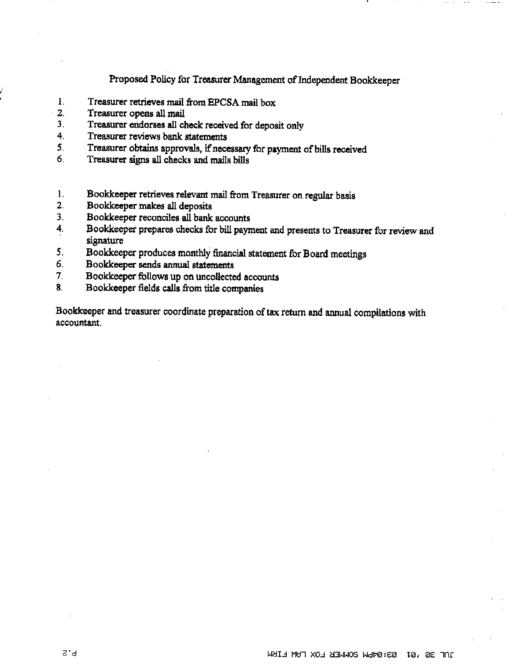Proposed Policy for Treasurer Management of Independent Bookkeeper

- $\mathbf{I}$ . Treasurer retrieves mail from EPCSA mail box
- $2.$ Treasurer opens all mail
- $3<sub>1</sub>$ Treasurer endorses all check received for deposit only
- 4 Treasurer reviews bank statements
- Treasurer obtains approvals, if necessary for payment of bills received 5.
- 6. Treasurer signs all checks and mails bills
- 1. Bookkeeper retrieves relevant mail from Treasurer on regular basis
- Bookkeeper makes all deposits  $2.$
- $3<sub>1</sub>$ Bookkeeper reconciles all bank accounts
- Bookkeeper prepares checks for bill payment and presents to Treasurer for review and 4. signature
- 5. Bookkeeper produces monthly financial statement for Board meetings
- 6. Bookkeeper sends annual statements
- Bookkeeper follows up on uncollected accounts  $7<sub>1</sub>$
- Bookkeeper fields calls from title companies 8.

Bookkeeper and treasurer coordinate preparation of tax return and annual compilations with accountant.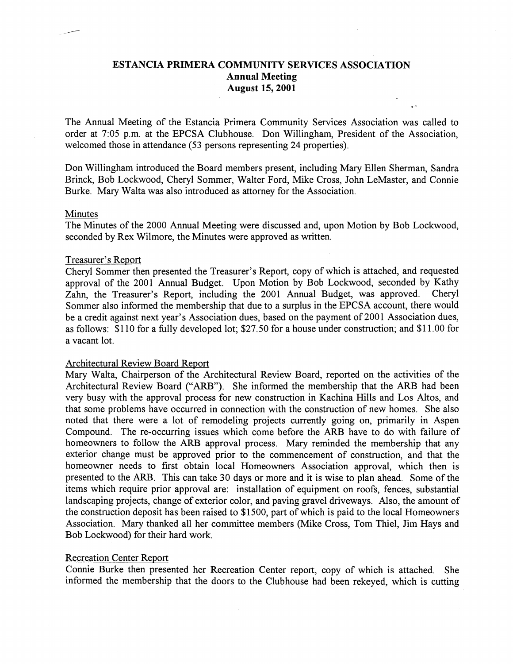# ESTANCIA PRIMERA COMMUNITY SERVICES ASSOCIATION Annual Meeting August 15,2001.

The Annual Meeting of the Estancia Primera Community Services Association was called to order at 7:Q5 p.m. at the EPCSA Clubhouse. Don Willingham, President of the Association, welcomed those in attendance (53 persons representing 24 properties).

Don Willingham introduced the Board members present, including Mary Ellen Sherman, Sandra Brinck, Bob Lockwood, Cheryl Sommer, Walter Ford, Mike Cross, John LeMaster, and Connie Burke. Mary Walta was also introduced as attorney for the Association.

#### Minutes

The Minutes of the 2000 Annual Meeting were discussed and, upon Motion by Bob Lockwood, seconded by Rex Wilmore, the Minutes were approved as written.

### Treasurer's Report

Cheryl Sommer then presented the Treasurer's Report, copy of which is attached, and requested approval of the 2001 Annual Budget. Upon Motion by Bob Lockwood, seconded by Kathy Zahn, the Treasurer's Report, including the 2001 Annual Budget, was approved. Cheryl Sommer also informed the membership that due to a surplus in the EPCSA account, there would be a credit against next year's Association dues, based on the payment of 2001 Association dues, as follows: \$110 for a fully developed lot, \$27.50 for a house under construction; and \$11.00 for a vacant lot.

## Architectural Review Board Report

Mary Walta, Chairperson of the Architectural Review Board, reported on the activities of the Architectural Review Board ('ARB"). She informed the membership that the ARB had been very busy with the approval process for new construction in Kachina Hills and Los Altos, and that some problems have occurred in connection with the construction of new homes. She also noted that there were a lot of remodeling projects currently going on, primarily in Aspen Compound. The re-occurring issues which come before the ARB have to do with failure of homeowners to follow the ARB approval process. Mary reminded the membership that any exterior change must be approved prior to the commencement of construction, and that the homeowner needs to first obtain local Homeowners Association approval, which then is presented to the ARB. This can take 30 days or more and it is wise to plan ahead. Some of the items which require prior approval are: installation of equipment on roofs, fences, substantial landscaping projects, change of exterior color, and paving gravel driveways. Also, the amount of the construction deposit has been raised to \$1500, part of which is paid to the local Homeowners Association. Mary thanked all her committee members (Mike Cross, Tom Thiel, Jim Hays and Bob Lockwood) for their hard work.

## Recreation Center Report

Connie Burke then presented her Recreation Center report, copy of which is attached. She informed the membership that the doors to the Clubhouse had been rekeyed, which is cutting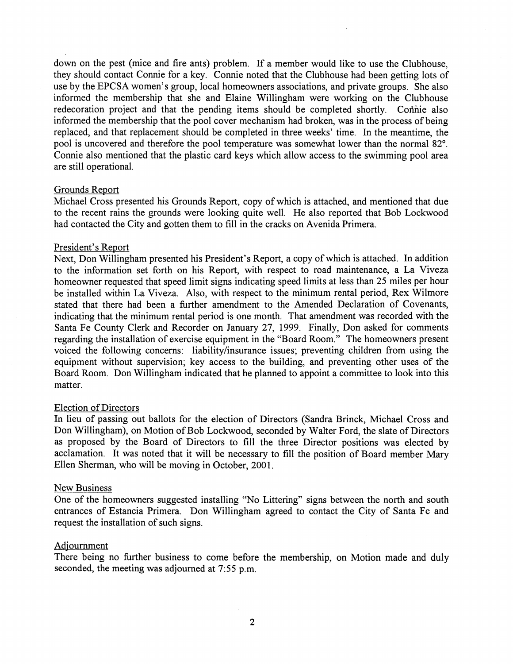down on the pest (mice and fire ants) problem. If a member would like to use the Clubhouse, they should contact Connie for a key. Connie noted that the Clubhouse had been getting lots of use by the EPCSA women's group, local homeowners associations, and private groups. She also informed the membership that she and Elaine Willingham were working on the Clubhouse redecoration project and that the pending items should be completed shortly. Connie also informed the membership that the pool cover mechanism had broken, was in the process of being replaced, and that replacement should be completed in three weeks' time. In the meantime, the pool is uncovered and therefore the pool temperature was somewhat lower than the normal 82<sup>o</sup>. Connie also mentioned that the plastic card keys which allow access to the swimming pool area are still operational.

## Grounds Report

Michael Cross presented his Grounds Report, copy of which is attached, and mentioned that due to the recent rains the grounds were looking quite well. He also reported that Bob Lockwood had contacted the City and gotten them to fill in the cracks on Avenida Primera.

### President's Report

Next, Don Willingham presented his President's Report, a copy of which is attached. In addition to the information set forth on his Report, with respect to road maintenance, a La Viveza homeowner requested that speed limit signs indicating speed limits at less than25 miles per hour be installed within La Viveza. Also, with respect to the minimum rental period, Rex Wilmore stated that there had been a further amendment to the Amended Declaration of Covenants, indicating that the minimum rental period is one month. That amendment was recorded with the Santa Fe County Clerk and Recorder on January 27, 1999. Finally, Don asked for comments regarding the installation of exercise equipment in the "Board Room." The homeowners present voiced the following concerns: liability/insurance issues; preventing children from using the equipment without supervision; key access to the building, and preventing other uses of the Board Room. Don Willingham indicated that he planned to appoint a committee to look into this matter.

#### Election of Directors

In lieu of passing out ballots for the election of Directors (Sandra Brinck, Michael Cross and Don Willingham), on Motion of Bob Lockwood, seconded by Walter Ford, the slate of Directors as proposed by the Board of Directors to fill the three Director positions was elected by acclamation. It was noted that it will be necessary to fill the position of Board member Mary Ellen Sherman, who will be moving in October, 2001.

### New Business

One of the homeowners suggested installing "No Littering" signs between the north and south entrances of Estancia Primera. Don Willingham agreed to contact the City of Santa Fe and request the installation of such signs.

#### Adjournment

There being no further business to come before the membership, on Motion made and dulyseconded, the meeting was adjourned at 7.55 p.m.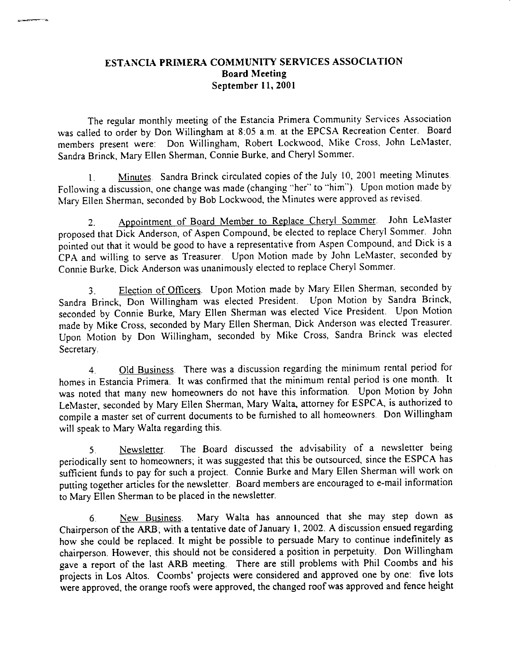# ESTANCIA PRIMERA COMMUNITY SERVICES ASSOCIATION **Board Meeting** September 11, 2001

The regular monthly meeting of the Estancia Primera Community Services Association was called to order by Don Willingham at 8:05 a.m. at the EPCSA Recreation Center. Board members present were: Don Willingham, Robert Lockwood, Mike Cross, John LeMaster, Sandra Brinck, Mary Ellen Sherman, Connie Burke, and Cheryl Sommer.

Minutes. Sandra Brinck circulated copies of the July 10, 2001 meeting Minutes.  $\mathbf{1}$ Following a discussion, one change was made (changing "her" to "him"). Upon motion made by Mary Ellen Sherman, seconded by Bob Lockwood, the Minutes were approved as revised.

Appointment of Board Member to Replace Cheryl Sommer. John LeMaster  $2<sub>1</sub>$ proposed that Dick Anderson, of Aspen Compound, be elected to replace Cheryl Sommer. John pointed out that it would be good to have a representative from Aspen Compound, and Dick is a CPA and willing to serve as Treasurer. Upon Motion made by John LeMaster, seconded by Connie Burke, Dick Anderson was unanimously elected to replace Cheryl Sommer.

Election of Officers. Upon Motion made by Mary Ellen Sherman, seconded by 3. Sandra Brinck, Don Willingham was elected President. Upon Motion by Sandra Brinck, seconded by Connie Burke, Mary Ellen Sherman was elected Vice President. Upon Motion made by Mike Cross, seconded by Mary Ellen Sherman, Dick Anderson was elected Treasurer. Upon Motion by Don Willingham, seconded by Mike Cross, Sandra Brinck was elected Secretary.

Old Business. There was a discussion regarding the minimum rental period for  $4<sup>1</sup>$ homes in Estancia Primera. It was confirmed that the minimum rental period is one month. It was noted that many new homeowners do not have this information. Upon Motion by John LeMaster, seconded by Mary Ellen Sherman, Mary Walta, attorney for ESPCA, is authorized to compile a master set of current documents to be furnished to all homeowners. Don Willingham will speak to Mary Walta regarding this

The Board discussed the advisability of a newsletter being  $5<sub>1</sub>$ Newsletter. periodically sent to homeowners, it was suggested that this be outsourced, since the ESPCA has sufficient funds to pay for such a project. Connie Burke and Mary Ellen Sherman will work on putting together articles for the newsletter. Board members are encouraged to e-mail information to Mary Ellen Sherman to be placed in the newsletter.

Mary Walta has announced that she may step down as  $6<sub>1</sub>$ New Business Chairperson of the ARB, with a tentative date of January 1, 2002. A discussion ensued regarding how she could be replaced. It might be possible to persuade Mary to continue indefinitely as chairperson. However, this should not be considered a position in perpetuity. Don Willingham gave a report of the last ARB meeting. There are still problems with Phil Coombs and his projects in Los Altos. Coombs' projects were considered and approved one by one: five lots were approved, the orange roofs were approved, the changed roof was approved and fence height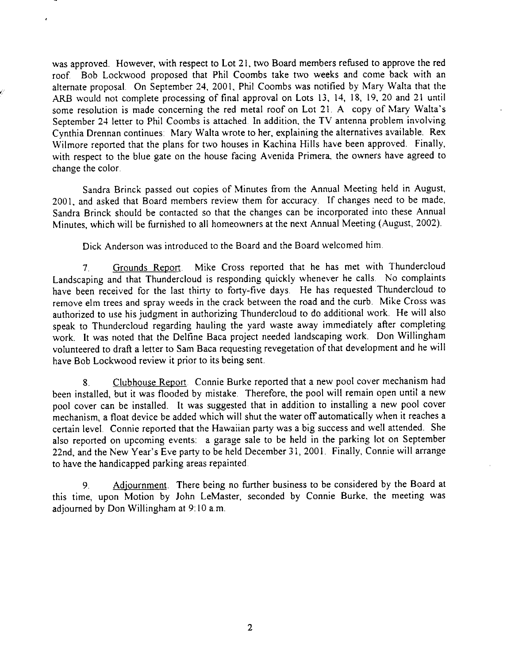was approved. However, with respect to Lot 21, two Board members refused to approve the red roof. Bob Lockwood proposed that Phil Coombs take two weeks and come back with an alternate proposal. On September 24, 2001, Phil Coombs was notified by Mary Walta that the ARB would not complete processing of final approval on Lots 13, 14, 18, 19, 20 and 21 until some resolution is made concerning the red metal roof on Lot 21. A copy of Mary Walta's September 24 letter to Phil Coombs is attached. In addition, the TV antenna problem involving Cynthia Drennan continues: Mary Walta wrote to her, explaining the alternatives available. Rex Wilmore reported that the plans for two houses in Kachina Hills have been approved. Finally, with respect to the blue gate on the house facing Avenida Primera, the owners have agreed to change the color.

Sandra Brinck passed out copies of Minutes from the Annual Meeting held in August, 2001, and asked that Board members review them for accuracy. If changes need to be made, Sandra Brinck should be contacted so that the changes can be incorporated into these Annual Minutes, which will be furnished to all homeowners at the next Annual Meeting (August, 2002).

Dick Anderson was introduced to the Board and the Board welcomed him.

Mike Cross reported that he has met with Thundercloud Grounds Report.  $7<sub>1</sub>$ Landscaping and that Thundercloud is responding quickly whenever he calls. No complaints have been received for the last thirty to forty-five days. He has requested Thundercloud to remove elm trees and spray weeds in the crack between the road and the curb. Mike Cross was authorized to use his judgment in authorizing Thundercloud to do additional work. He will also speak to Thundercloud regarding hauling the yard waste away immediately after completing work. It was noted that the Delfine Baca project needed landscaping work. Don Willingham volunteered to draft a letter to Sam Baca requesting revegetation of that development and he will have Bob Lockwood review it prior to its being sent.

Clubhouse Report. Connie Burke reported that a new pool cover mechanism had  $8<sub>1</sub>$ been installed, but it was flooded by mistake. Therefore, the pool will remain open until a new pool cover can be installed. It was suggested that in addition to installing a new pool cover mechanism, a float device be added which will shut the water off automatically when it reaches a certain level. Connie reported that the Hawaiian party was a big success and well attended. She also reported on upcoming events: a garage sale to be held in the parking lot on September 22nd, and the New Year's Eve party to be held December 31, 2001. Finally, Connie will arrange to have the handicapped parking areas repainted.

Adjournment. There being no further business to be considered by the Board at  $9<sub>1</sub>$ this time, upon Motion by John LeMaster, seconded by Connie Burke, the meeting was adjourned by Don Willingham at 9:10 a.m.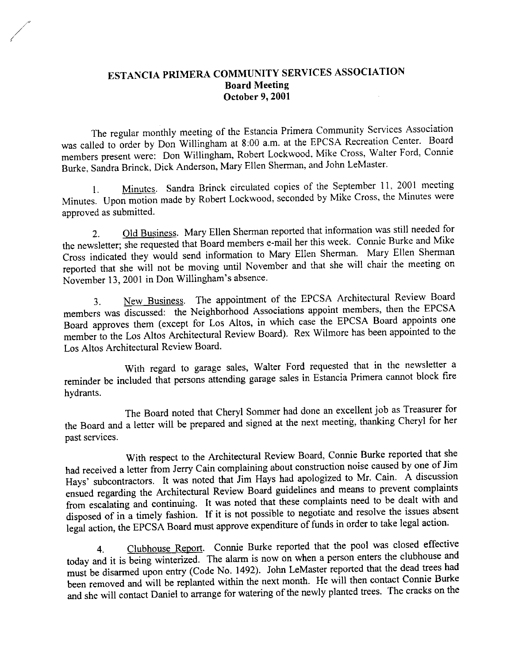# ESTANCIA PRIMERA COMMUNITY SERVICES ASSOCIATION **Board Meeting** October 9, 2001

The regular monthly meeting of the Estancia Primera Community Services Association was called to order by Don Willingham at 8:00 a.m. at the EPCSA Recreation Center. Board members present were: Don Willingham, Robert Lockwood, Mike Cross, Walter Ford, Connie Burke, Sandra Brinck, Dick Anderson, Mary Ellen Sherman, and John LeMaster.

Minutes. Sandra Brinck circulated copies of the September 11, 2001 meeting  $1.$ Minutes. Upon motion made by Robert Lockwood, seconded by Mike Cross, the Minutes were approved as submitted.

Old Business. Mary Ellen Sherman reported that information was still needed for  $2.$ the newsletter; she requested that Board members e-mail her this week. Connie Burke and Mike Cross indicated they would send information to Mary Ellen Sherman. Mary Ellen Sherman reported that she will not be moving until November and that she will chair the meeting on November 13, 2001 in Don Willingham's absence.

New Business. The appointment of the EPCSA Architectural Review Board 3. members was discussed: the Neighborhood Associations appoint members, then the EPCSA Board approves them (except for Los Altos, in which case the EPCSA Board appoints one member to the Los Altos Architectural Review Board). Rex Wilmore has been appointed to the Los Altos Architectural Review Board.

With regard to garage sales, Walter Ford requested that in the newsletter a reminder be included that persons attending garage sales in Estancia Primera cannot block fire hydrants.

The Board noted that Cheryl Sommer had done an excellent job as Treasurer for the Board and a letter will be prepared and signed at the next meeting, thanking Cheryl for her past services.

With respect to the Architectural Review Board, Connie Burke reported that she had received a letter from Jerry Cain complaining about construction noise caused by one of Jim Hays' subcontractors. It was noted that Jim Hays had apologized to Mr. Cain. A discussion ensued regarding the Architectural Review Board guidelines and means to prevent complaints from escalating and continuing. It was noted that these complaints need to be dealt with and disposed of in a timely fashion. If it is not possible to negotiate and resolve the issues absent legal action, the EPCSA Board must approve expenditure of funds in order to take legal action.

Clubhouse Report. Connie Burke reported that the pool was closed effective  $4.$ today and it is being winterized. The alarm is now on when a person enters the clubhouse and must be disarmed upon entry (Code No. 1492). John LeMaster reported that the dead trees had been removed and will be replanted within the next month. He will then contact Connie Burke and she will contact Daniel to arrange for watering of the newly planted trees. The cracks on the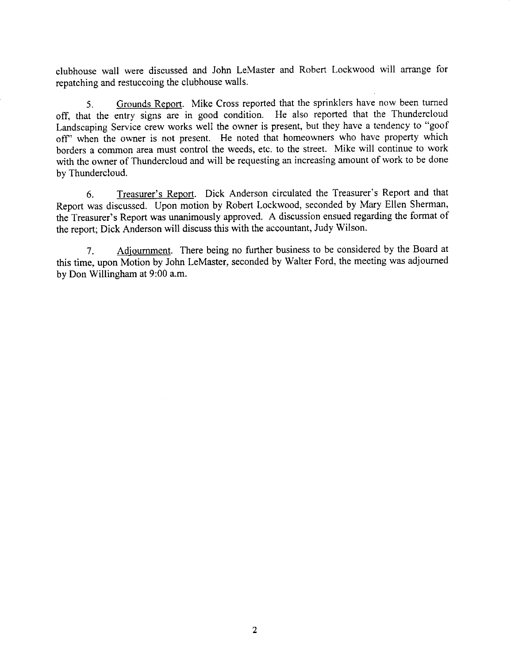clubhouse wall were discussed and John LeMaster and Robert Lockwood will arrange for repatching and restuccoing the clubhouse walls.

Grounds Report. Mike Cross reported that the sprinklers have now been turned 5. off, that the entry signs are in good condition. He also reported that the Thundercloud Landscaping Service crew works well the owner is present, but they have a tendency to "goof off" when the owner is not present. He noted that homeowners who have property which borders a common area must control the weeds, etc. to the street. Mike will continue to work with the owner of Thundercloud and will be requesting an increasing amount of work to be done by Thundercloud.

Treasurer's Report. Dick Anderson circulated the Treasurer's Report and that 6. Report was discussed. Upon motion by Robert Lockwood, seconded by Mary Ellen Sherman, the Treasurer's Report was unanimously approved. A discussion ensued regarding the format of the report; Dick Anderson will discuss this with the accountant, Judy Wilson.

Adjournment. There being no further business to be considered by the Board at  $7<sub>1</sub>$ this time, upon Motion by John LeMaster, seconded by Walter Ford, the meeting was adjourned by Don Willingham at 9:00 a.m.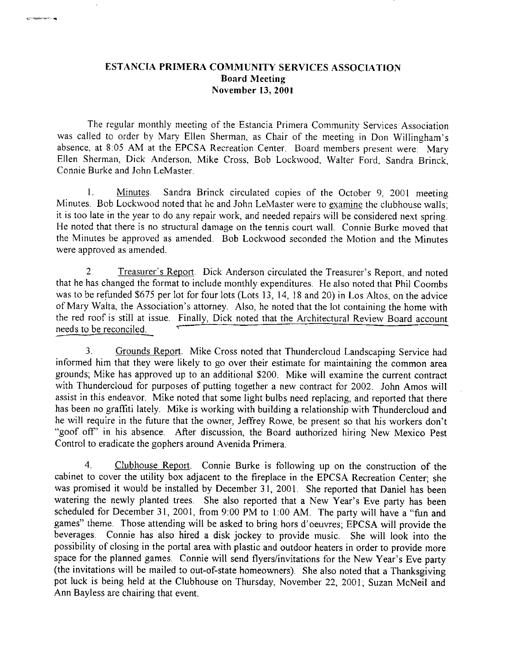# ESTANCIA PRIMERA COMMUNITY SERVICES ASSOCIATION **Board Meeting** November 13, 2001

The regular monthly meeting of the Estancia Primera Community Services Association was called to order by Mary Ellen Sherman, as Chair of the meeting in Don Willingham's absence, at 8.05 AM at the EPCSA Recreation Center. Board members present were: Mary Ellen Sherman, Dick Anderson, Mike Cross, Bob Lockwood, Walter Ford, Sandra Brinck, Connie Burke and John LeMaster.

 $\mathbf{1}$ . Minutes. Sandra Brinck circulated copies of the October 9, 2001 meeting Minutes. Bob Lockwood noted that he and John LeMaster were to examine the clubhouse walls; it is too late in the year to do any repair work, and needed repairs will be considered next spring. He noted that there is no structural damage on the tennis court wall. Connie Burke moved that the Minutes be approved as amended. Bob Lockwood seconded the Motion and the Minutes were approved as amended.

Treasurer's Report. Dick Anderson circulated the Treasurer's Report, and noted  $2<sub>1</sub>$ that he has changed the format to include monthly expenditures. He also noted that Phil Coombs was to be refunded \$675 per lot for four lots (Lots 13, 14, 18 and 20) in Los Altos, on the advice of Mary Walta, the Association's attorney. Also, he noted that the lot containing the home with the red roof is still at issue. Finally, Dick noted that the Architectural Review Board account needs to be reconciled.

Grounds Report. Mike Cross noted that Thundercloud Landscaping Service had  $3<sub>1</sub>$ informed him that they were likely to go over their estimate for maintaining the common area grounds; Mike has approved up to an additional \$200. Mike will examine the current contract with Thundercloud for purposes of putting together a new contract for 2002. John Amos will assist in this endeavor. Mike noted that some light bulbs need replacing, and reported that there has been no graffiti lately. Mike is working with building a relationship with Thundercloud and he will require in the future that the owner, Jeffrey Rowe, be present so that his workers don't "goof off" in his absence. After discussion, the Board authorized hiring New Mexico Pest Control to eradicate the gophers around Avenida Primera.

 $\overline{4}$ . Clubhouse Report. Connie Burke is following up on the construction of the cabinet to cover the utility box adjacent to the fireplace in the EPCSA Recreation Center; she was promised it would be installed by December 31, 2001. She reported that Daniel has been watering the newly planted trees. She also reported that a New Year's Eve party has been scheduled for December 31, 2001, from 9:00 PM to 1:00 AM. The party will have a "fun and games" theme. Those attending will be asked to bring hors d'oeuvres; EPCSA will provide the beverages. Connie has also hired a disk jockey to provide music. She will look into the possibility of closing in the portal area with plastic and outdoor heaters in order to provide more space for the planned games. Connie will send flyers/invitations for the New Year's Eve party (the invitations will be mailed to out-of-state homeowners). She also noted that a Thanksgiving pot luck is being held at the Clubhouse on Thursday, November 22, 2001; Suzan McNeil and Ann Bayless are chairing that event.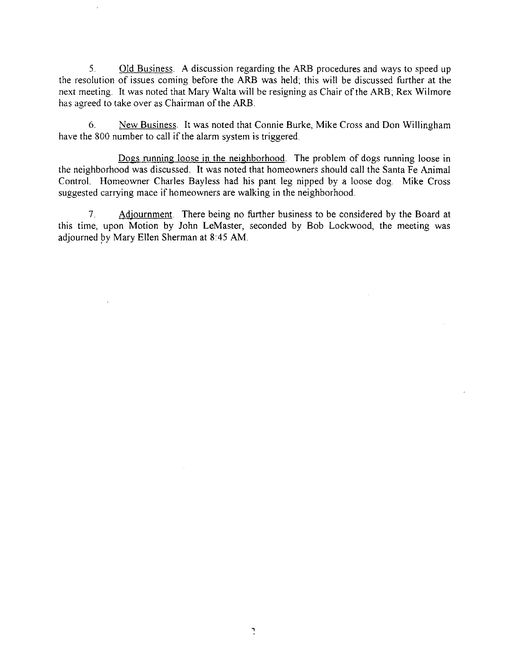Old Business. A discussion regarding the ARB procedures and ways to speed up  $5<sub>1</sub>$ the resolution of issues coming before the ARB was held; this will be discussed further at the next meeting. It was noted that Mary Walta will be resigning as Chair of the ARB; Rex Wilmore has agreed to take over as Chairman of the ARB.

6. New Business. It was noted that Connie Burke, Mike Cross and Don Willingham have the 800 number to call if the alarm system is triggered.

Dogs running loose in the neighborhood. The problem of dogs running loose in the neighborhood was discussed. It was noted that homeowners should call the Santa Fe Animal Control. Homeowner Charles Bayless had his pant leg nipped by a loose dog. Mike Cross suggested carrying mace if homeowners are walking in the neighborhood.

Adjournment. There being no further business to be considered by the Board at  $7_{\scriptscriptstyle{\sim}}$ this time, upon Motion by John LeMaster, seconded by Bob Lockwood, the meeting was adjourned by Mary Ellen Sherman at 8:45 AM.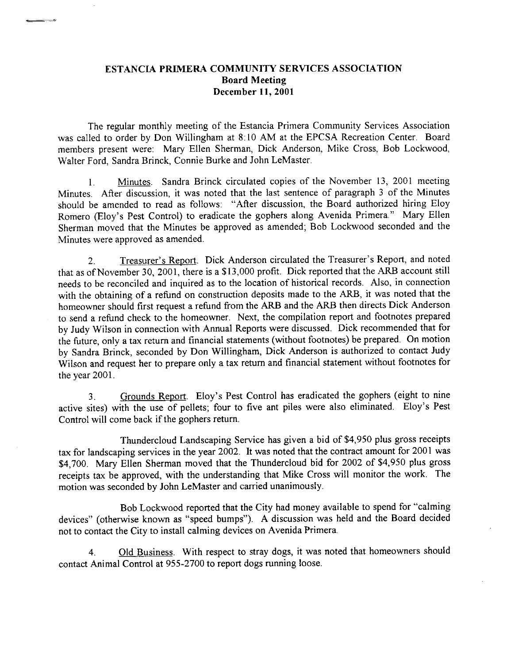# ESTANCIA PRIMERA COMMUNITY SERVICES ASSOCIATION **Board Meeting** December 11, 2001

The regular monthly meeting of the Estancia Primera Community Services Association was called to order by Don Willingham at 8:10 AM at the EPCSA Recreation Center. Board members present were: Mary Ellen Sherman, Dick Anderson, Mike Cross, Bob Lockwood, Walter Ford, Sandra Brinck, Connie Burke and John LeMaster.

Minutes. Sandra Brinck circulated copies of the November 13, 2001 meeting  $1.$ Minutes. After discussion, it was noted that the last sentence of paragraph 3 of the Minutes should be amended to read as follows: "After discussion, the Board authorized hiring Eloy Romero (Eloy's Pest Control) to eradicate the gophers along Avenida Primera." Mary Ellen Sherman moved that the Minutes be approved as amended; Bob Lockwood seconded and the Minutes were approved as amended.

Treasurer's Report. Dick Anderson circulated the Treasurer's Report, and noted  $2.$ that as of November 30, 2001, there is a \$13,000 profit. Dick reported that the ARB account still needs to be reconciled and inquired as to the location of historical records. Also, in connection with the obtaining of a refund on construction deposits made to the ARB, it was noted that the homeowner should first request a refund from the ARB and the ARB then directs Dick Anderson to send a refund check to the homeowner. Next, the compilation report and footnotes prepared by Judy Wilson in connection with Annual Reports were discussed. Dick recommended that for the future, only a tax return and financial statements (without footnotes) be prepared. On motion by Sandra Brinck, seconded by Don Willingham, Dick Anderson is authorized to contact Judy Wilson and request her to prepare only a tax return and financial statement without footnotes for the year 2001.

Grounds Report. Eloy's Pest Control has eradicated the gophers (eight to nine  $3<sub>1</sub>$ active sites) with the use of pellets; four to five ant piles were also eliminated. Eloy's Pest Control will come back if the gophers return.

Thundercloud Landscaping Service has given a bid of \$4,950 plus gross receipts tax for landscaping services in the year 2002. It was noted that the contract amount for 2001 was \$4,700. Mary Ellen Sherman moved that the Thundercloud bid for 2002 of \$4,950 plus gross receipts tax be approved, with the understanding that Mike Cross will monitor the work. The motion was seconded by John LeMaster and carried unanimously.

Bob Lockwood reported that the City had money available to spend for "calming devices" (otherwise known as "speed bumps"). A discussion was held and the Board decided not to contact the City to install calming devices on Avenida Primera.

Old Business. With respect to stray dogs, it was noted that homeowners should 4. contact Animal Control at 955-2700 to report dogs running loose.